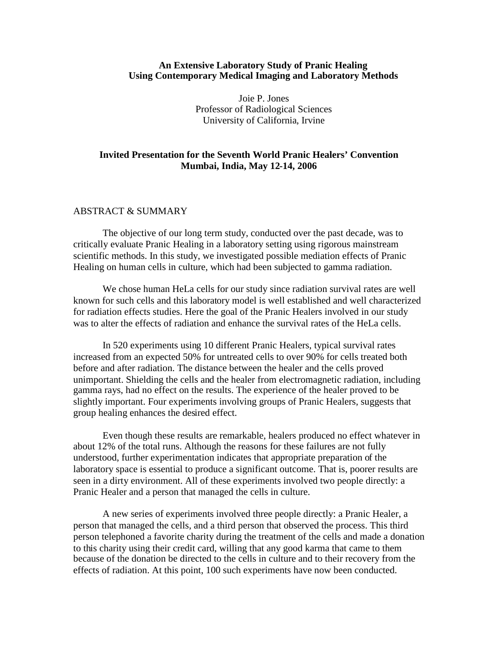## **An Extensive Laboratory Study of Pranic Healing Using Contemporary Medical Imaging and Laboratory Methods**

Joie P. Jones Professor of Radiological Sciences University of California, Irvine

# **Invited Presentation for the Seventh World Pranic Healers' Convention Mumbai, India, May 12-14, 2006**

## ABSTRACT & SUMMARY

The objective of our long term study, conducted over the past decade, was to critically evaluate Pranic Healing in a laboratory setting using rigorous mainstream scientific methods. In this study, we investigated possible mediation effects of Pranic Healing on human cells in culture, which had been subjected to gamma radiation.

We chose human HeLa cells for our study since radiation survival rates are well known for such cells and this laboratory model is well established and well characterized for radiation effects studies. Here the goal of the Pranic Healers involved in our study was to alter the effects of radiation and enhance the survival rates of the HeLa cells.

In 520 experiments using 10 different Pranic Healers, typical survival rates increased from an expected 50% for untreated cells to over 90% for cells treated both before and after radiation. The distance between the healer and the cells proved unimportant. Shielding the cells and the healer from electromagnetic radiation, including gamma rays, had no effect on the results. The experience of the healer proved to be slightly important. Four experiments involving groups of Pranic Healers, suggests that group healing enhances the desired effect.

Even though these results are remarkable, healers produced no effect whatever in about 12% of the total runs. Although the reasons for these failures are not fully understood, further experimentation indicates that appropriate preparation of the laboratory space is essential to produce a significant outcome. That is, poorer results are seen in a dirty environment. All of these experiments involved two people directly: a Pranic Healer and a person that managed the cells in culture.

A new series of experiments involved three people directly: a Pranic Healer, a person that managed the cells, and a third person that observed the process. This third person telephoned a favorite charity during the treatment of the cells and made a donation to this charity using their credit card, willing that any good karma that came to them because of the donation be directed to the cells in culture and to their recovery from the effects of radiation. At this point, 100 such experiments have now been conducted.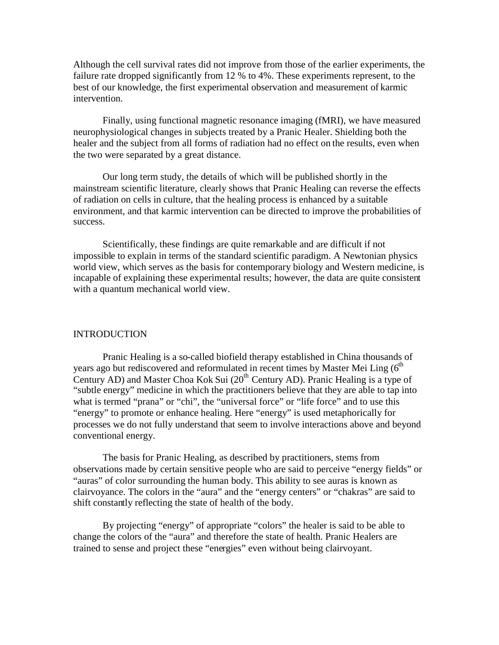Although the cell survival rates did not improve from those of the earlier experiments, the failure rate dropped significantly from 12 % to 4%. These experiments represent, to the best of our knowledge, the first experimental observation and measurement of karmic intervention.

Finally, using functional magnetic resonance imaging (fMRI), we have measured neurophysiological changes in subjects treated by a Pranic Healer. Shielding both the healer and the subject from all forms of radiation had no effect on the results, even when the two were separated by a great distance.

Our long term study, the details of which will be published shortly in the mainstream scientific literature, clearly shows that Pranic Healing can reverse the effects of radiation on cells in culture, that the healing process is enhanced by a suitable environment, and that karmic intervention can be directed to improve the probabilities of success.

Scientifically, these findings are quite remarkable and are difficult if not impossible to explain in terms of the standard scientific paradigm. A Newtonian physics world view, which serves as the basis for contemporary biology and Western medicine, is incapable of explaining these experimental results; however, the data are quite consistent with a quantum mechanical world view.

### INTRODUCTION

Pranic Healing is a so-called biofield therapy established in China thousands of years ago but rediscovered and reformulated in recent times by Master Mei Ling  $6<sup>th</sup>$ Century AD) and Master Choa Kok Sui  $(20<sup>th</sup>$  Century AD). Pranic Healing is a type of "subtle energy" medicine in which the practitioners believe that they are able to tap into what is termed "prana" or "chi", the "universal force" or "life force" and to use this "energy" to promote or enhance healing. Here "energy" is used metaphorically for processes we do not fully understand that seem to involve interactions above and beyond conventional energy.

The basis for Pranic Healing, as described by practitioners, stems from observations made by certain sensitive people who are said to perceive "energy fields" or "auras" of color surrounding the human body. This ability to see auras is known as clairvoyance. The colors in the "aura" and the "energy centers" or "chakras" are said to shift constantly reflecting the state of health of the body.

By projecting "energy" of appropriate "colors" the healer is said to be able to change the colors of the "aura" and therefore the state of health. Pranic Healers are trained to sense and project these "energies" even without being clairvoyant.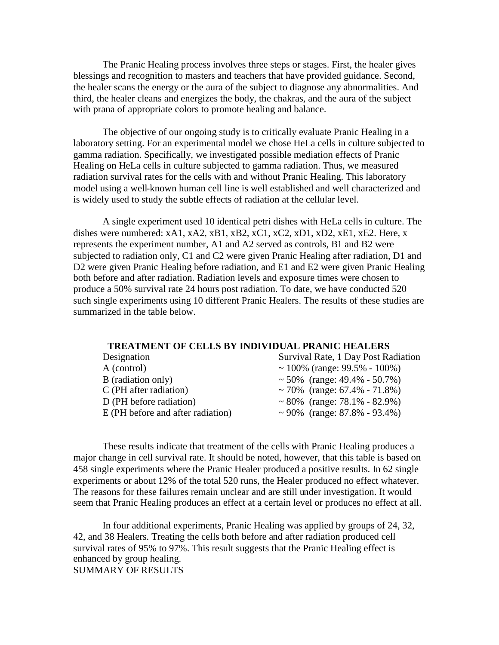The Pranic Healing process involves three steps or stages. First, the healer gives blessings and recognition to masters and teachers that have provided guidance. Second, the healer scans the energy or the aura of the subject to diagnose any abnormalities. And third, the healer cleans and energizes the body, the chakras, and the aura of the subject with prana of appropriate colors to promote healing and balance.

The objective of our ongoing study is to critically evaluate Pranic Healing in a laboratory setting. For an experimental model we chose HeLa cells in culture subjected to gamma radiation. Specifically, we investigated possible mediation effects of Pranic Healing on HeLa cells in culture subjected to gamma radiation. Thus, we measured radiation survival rates for the cells with and without Pranic Healing. This laboratory model using a well-known human cell line is well established and well characterized and is widely used to study the subtle effects of radiation at the cellular level.

A single experiment used 10 identical petri dishes with HeLa cells in culture. The dishes were numbered: xA1, xA2, xB1, xB2, xC1, xC2, xD1, xD2, xE1, xE2. Here, x represents the experiment number, A1 and A2 served as controls, B1 and B2 were subjected to radiation only, C1 and C2 were given Pranic Healing after radiation, D1 and D2 were given Pranic Healing before radiation, and E1 and E2 were given Pranic Healing both before and after radiation. Radiation levels and exposure times were chosen to produce a 50% survival rate 24 hours post radiation. To date, we have conducted 520 such single experiments using 10 different Pranic Healers. The results of these studies are summarized in the table below.

#### **TREATMENT OF CELLS BY INDIVIDUAL PRANIC HEALERS**

| Designation                       | Survival Rate, 1 Day Post Radiation |
|-----------------------------------|-------------------------------------|
| A (control)                       | ~ 100% (range: $99.5% - 100%$ )     |
| B (radiation only)                | ~ 50% (range: $49.4\%$ - 50.7%)     |
| $C$ (PH after radiation)          | ~70% (range: $67.4\%$ - $71.8\%$ )  |
| D (PH before radiation)           | ~80\% (range: $78.1\%$ - 82.9\%)    |
| E (PH before and after radiation) | ~90% (range: $87.8\%$ - 93.4%)      |
|                                   |                                     |

These results indicate that treatment of the cells with Pranic Healing produces a major change in cell survival rate. It should be noted, however, that this table is based on 458 single experiments where the Pranic Healer produced a positive results. In 62 single experiments or about 12% of the total 520 runs, the Healer produced no effect whatever. The reasons for these failures remain unclear and are still under investigation. It would seem that Pranic Healing produces an effect at a certain level or produces no effect at all.

In four additional experiments, Pranic Healing was applied by groups of 24, 32, 42, and 38 Healers. Treating the cells both before and after radiation produced cell survival rates of 95% to 97%. This result suggests that the Pranic Healing effect is enhanced by group healing. SUMMARY OF RESULTS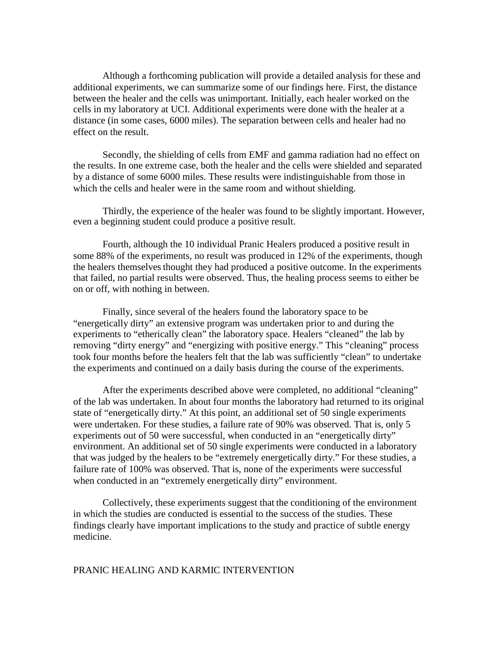Although a forthcoming publication will provide a detailed analysis for these and additional experiments, we can summarize some of our findings here. First, the distance between the healer and the cells was unimportant. Initially, each healer worked on the cells in my laboratory at UCI. Additional experiments were done with the healer at a distance (in some cases, 6000 miles). The separation between cells and healer had no effect on the result.

Secondly, the shielding of cells from EMF and gamma radiation had no effect on the results. In one extreme case, both the healer and the cells were shielded and separated by a distance of some 6000 miles. These results were indistinguishable from those in which the cells and healer were in the same room and without shielding.

Thirdly, the experience of the healer was found to be slightly important. However, even a beginning student could produce a positive result.

Fourth, although the 10 individual Pranic Healers produced a positive result in some 88% of the experiments, no result was produced in 12% of the experiments, though the healers themselves thought they had produced a positive outcome. In the experiments that failed, no partial results were observed. Thus, the healing process seems to either be on or off, with nothing in between.

Finally, since several of the healers found the laboratory space to be "energetically dirty" an extensive program was undertaken prior to and during the experiments to "etherically clean" the laboratory space. Healers "cleaned" the lab by removing "dirty energy" and "energizing with positive energy." This "cleaning" process took four months before the healers felt that the lab was sufficiently "clean" to undertake the experiments and continued on a daily basis during the course of the experiments.

After the experiments described above were completed, no additional "cleaning" of the lab was undertaken. In about four months the laboratory had returned to its original state of "energetically dirty." At this point, an additional set of 50 single experiments were undertaken. For these studies, a failure rate of 90% was observed. That is, only 5 experiments out of 50 were successful, when conducted in an "energetically dirty" environment. An additional set of 50 single experiments were conducted in a laboratory that was judged by the healers to be "extremely energetically dirty." For these studies, a failure rate of 100% was observed. That is, none of the experiments were successful when conducted in an "extremely energetically dirty" environment.

Collectively, these experiments suggest that the conditioning of the environment in which the studies are conducted is essential to the success of the studies. These findings clearly have important implications to the study and practice of subtle energy medicine.

### PRANIC HEALING AND KARMIC INTERVENTION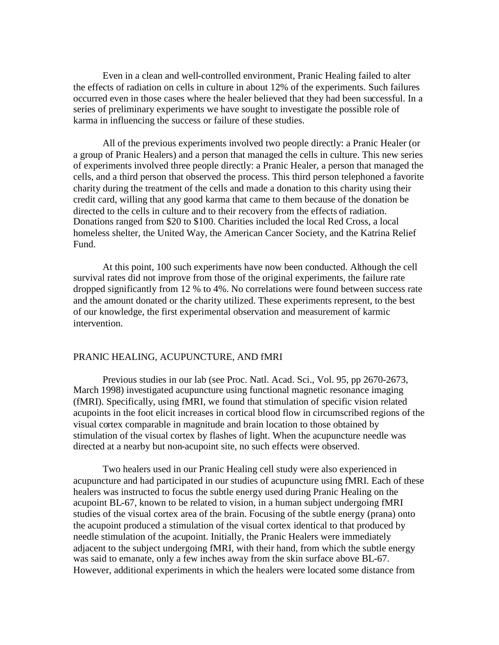Even in a clean and well-controlled environment, Pranic Healing failed to alter the effects of radiation on cells in culture in about 12% of the experiments. Such failures occurred even in those cases where the healer believed that they had been successful. In a series of preliminary experiments we have sought to investigate the possible role of karma in influencing the success or failure of these studies.

All of the previous experiments involved two people directly: a Pranic Healer (or a group of Pranic Healers) and a person that managed the cells in culture. This new series of experiments involved three people directly: a Pranic Healer, a person that managed the cells, and a third person that observed the process. This third person telephoned a favorite charity during the treatment of the cells and made a donation to this charity using their credit card, willing that any good karma that came to them because of the donation be directed to the cells in culture and to their recovery from the effects of radiation. Donations ranged from \$20 to \$100. Charities included the local Red Cross, a local homeless shelter, the United Way, the American Cancer Society, and the Katrina Relief Fund.

At this point, 100 such experiments have now been conducted. Although the cell survival rates did not improve from those of the original experiments, the failure rate dropped significantly from 12 % to 4%. No correlations were found between success rate and the amount donated or the charity utilized. These experiments represent, to the best of our knowledge, the first experimental observation and measurement of karmic intervention.

### PRANIC HEALING, ACUPUNCTURE, AND fMRI

Previous studies in our lab (see Proc. Natl. Acad. Sci., Vol. 95, pp 2670-2673, March 1998) investigated acupuncture using functional magnetic resonance imaging (fMRI). Specifically, using fMRI, we found that stimulation of specific vision related acupoints in the foot elicit increases in cortical blood flow in circumscribed regions of the visual cortex comparable in magnitude and brain location to those obtained by stimulation of the visual cortex by flashes of light. When the acupuncture needle was directed at a nearby but non-acupoint site, no such effects were observed.

Two healers used in our Pranic Healing cell study were also experienced in acupuncture and had participated in our studies of acupuncture using fMRI. Each of these healers was instructed to focus the subtle energy used during Pranic Healing on the acupoint BL-67, known to be related to vision, in a human subject undergoing fMRI studies of the visual cortex area of the brain. Focusing of the subtle energy (prana) onto the acupoint produced a stimulation of the visual cortex identical to that produced by needle stimulation of the acupoint. Initially, the Pranic Healers were immediately adjacent to the subject undergoing fMRI, with their hand, from which the subtle energy was said to emanate, only a few inches away from the skin surface above BL-67. However, additional experiments in which the healers were located some distance from